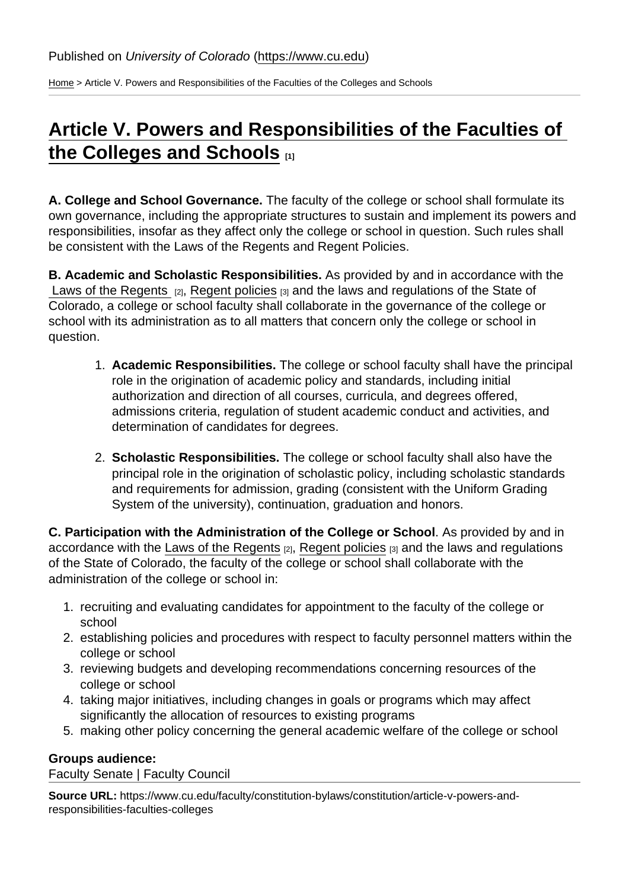[Home](https://www.cu.edu/) > Article V. Powers and Responsibilities of the Faculties of the Colleges and Schools

## [Article V. Powers and Responsibilities of the Faculties of](https://www.cu.edu/faculty/constitution-bylaws/constitution/article-v-powers-and-responsibilities-faculties-colleges)  [the Colleges and Schools](https://www.cu.edu/faculty/constitution-bylaws/constitution/article-v-powers-and-responsibilities-faculties-colleges)  $_{11}$

A. College and School Governance. The faculty of the college or school shall formulate its own governance, including the appropriate structures to sustain and implement its powers and responsibilities, insofar as they affect only the college or school in question. Such rules shall be consistent with the Laws of the Regents and Regent Policies.

B. Academic and Scholastic Responsibilities. As provided by and in accordance with the Laws of the Regents  $[2]$ , [Regent policies](https://www.cu.edu/regents/regent-policy-0)  $[3]$  and the laws and regulations of the State of Colorado, a college or school faculty shall collaborate in the governance of the college or school with its administration as to all matters that concern only the college or school in question.

- 1. Academic Responsibilities. The college or school faculty shall have the principal role in the origination of academic policy and standards, including initial authorization and direction of all courses, curricula, and degrees offered, admissions criteria, regulation of student academic conduct and activities, and determination of candidates for degrees.
- 2. Scholastic Responsibilities. The college or school faculty shall also have the principal role in the origination of scholastic policy, including scholastic standards and requirements for admission, grading (consistent with the Uniform Grading System of the university), continuation, graduation and honors.

C. Participation with the Administration of the College or School . As provided by and in accordance with the [Laws of the Regents](https://www.cu.edu/regents/laws-and-policies/regent-laws) [2], [Regent policies](https://www.cu.edu/regents/regent-policy-0) [3] and the laws and regulations of the State of Colorado, the faculty of the college or school shall collaborate with the administration of the college or school in:

- 1. recruiting and evaluating candidates for appointment to the faculty of the college or school
- 2. establishing policies and procedures with respect to faculty personnel matters within the college or school
- 3. reviewing budgets and developing recommendations concerning resources of the college or school
- 4. taking major initiatives, including changes in goals or programs which may affect significantly the allocation of resources to existing programs
- 5. making other policy concerning the general academic welfare of the college or school

Groups audience:

Faculty Senate | Faculty Council

Source URL: https://www.cu.edu/faculty/constitution-bylaws/constitution/article-v-powers-andresponsibilities-faculties-colleges